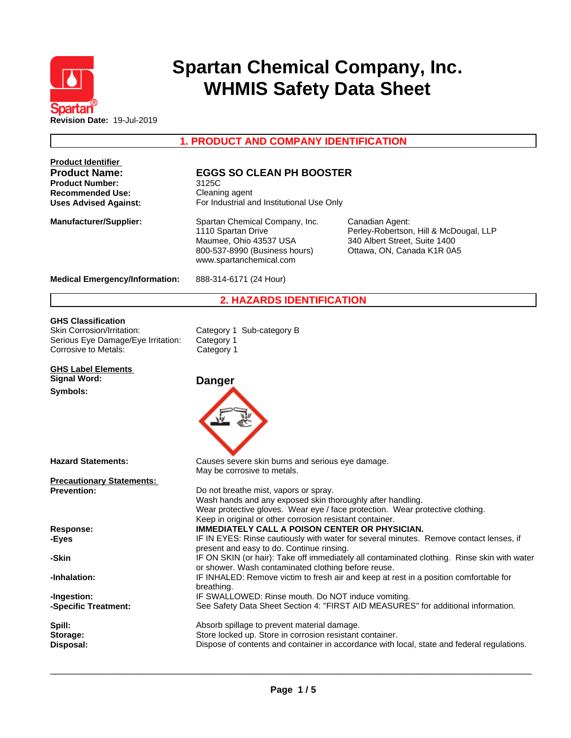

# **Spartan Chemical Company, Inc. WHMIS Safety Data Sheet**

**1. PRODUCT AND COMPANY IDENTIFICATION**

| <b>Product Identifier</b>                                                 |                                                                                                                                                                 |                                                                                                                          |
|---------------------------------------------------------------------------|-----------------------------------------------------------------------------------------------------------------------------------------------------------------|--------------------------------------------------------------------------------------------------------------------------|
| <b>Product Name:</b><br><b>Product Number:</b><br><b>Recommended Use:</b> | <b>EGGS SO CLEAN PH BOOSTER</b><br>3125C<br>Cleaning agent                                                                                                      |                                                                                                                          |
| <b>Uses Advised Against:</b>                                              | For Industrial and Institutional Use Only                                                                                                                       |                                                                                                                          |
| <b>Manufacturer/Supplier:</b>                                             | Spartan Chemical Company, Inc.<br>1110 Spartan Drive<br>Maumee, Ohio 43537 USA<br>800-537-8990 (Business hours)<br>www.spartanchemical.com                      | Canadian Agent:<br>Perley-Robertson, Hill & McDougal, LLP<br>340 Albert Street, Suite 1400<br>Ottawa, ON, Canada K1R 0A5 |
| <b>Medical Emergency/Information:</b>                                     | 888-314-6171 (24 Hour)                                                                                                                                          |                                                                                                                          |
|                                                                           | <b>2. HAZARDS IDENTIFICATION</b>                                                                                                                                |                                                                                                                          |
| <b>GHS Classification</b>                                                 |                                                                                                                                                                 |                                                                                                                          |
| Skin Corrosion/Irritation:                                                | Category 1 Sub-category B                                                                                                                                       |                                                                                                                          |
| Serious Eye Damage/Eye Irritation:                                        | Category 1                                                                                                                                                      |                                                                                                                          |
| Corrosive to Metals:                                                      | Category 1                                                                                                                                                      |                                                                                                                          |
| <b>GHS Label Elements</b>                                                 |                                                                                                                                                                 |                                                                                                                          |
| <b>Signal Word:</b>                                                       | <b>Danger</b>                                                                                                                                                   |                                                                                                                          |
| Symbols:                                                                  |                                                                                                                                                                 |                                                                                                                          |
| <b>Hazard Statements:</b>                                                 | Causes severe skin burns and serious eye damage.                                                                                                                |                                                                                                                          |
| <b>Precautionary Statements:</b>                                          | May be corrosive to metals.                                                                                                                                     |                                                                                                                          |
| <b>Prevention:</b>                                                        | Do not breathe mist, vapors or spray.<br>Wash hands and any exposed skin thoroughly after handling.<br>Keep in original or other corrosion resistant container. | Wear protective gloves. Wear eye / face protection. Wear protective clothing.                                            |
| <b>Response:</b>                                                          | <b>IMMEDIATELY CALL A POISON CENTER OR PHYSICIAN.</b>                                                                                                           |                                                                                                                          |
| -Eyes                                                                     |                                                                                                                                                                 | IF IN EYES: Rinse cautiously with water for several minutes. Remove contact lenses, if                                   |
| -Skin                                                                     | present and easy to do. Continue rinsing.                                                                                                                       | IF ON SKIN (or hair): Take off immediately all contaminated clothing. Rinse skin with water                              |
| -Inhalation:                                                              | or shower. Wash contaminated clothing before reuse.<br>breathing.                                                                                               | IF INHALED: Remove victim to fresh air and keep at rest in a position comfortable for                                    |
| -Ingestion:                                                               | IF SWALLOWED: Rinse mouth. Do NOT induce vomiting.                                                                                                              |                                                                                                                          |
| -Specific Treatment:                                                      |                                                                                                                                                                 | See Safety Data Sheet Section 4: "FIRST AID MEASURES" for additional information.                                        |
| Spill:                                                                    | Absorb spillage to prevent material damage.                                                                                                                     |                                                                                                                          |
| Storage:                                                                  | Store locked up. Store in corrosion resistant container.                                                                                                        |                                                                                                                          |
| Disposal:                                                                 |                                                                                                                                                                 | Dispose of contents and container in accordance with local, state and federal regulations.                               |
|                                                                           |                                                                                                                                                                 |                                                                                                                          |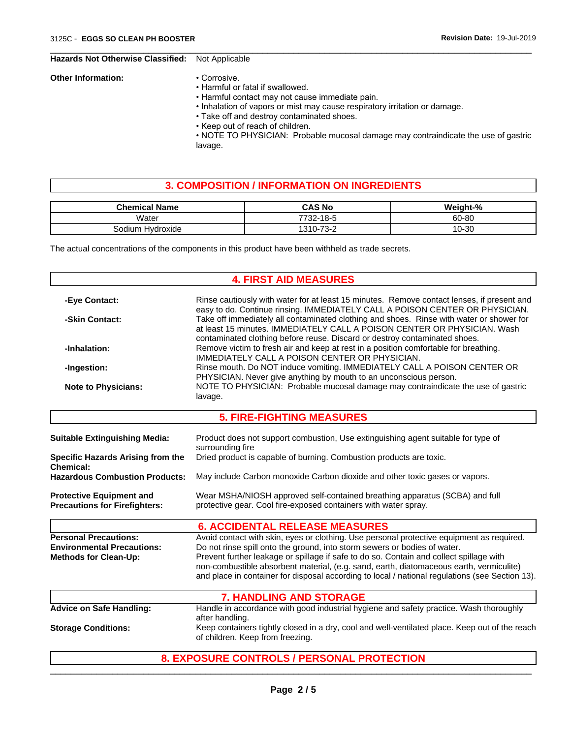#### **Hazards Not Otherwise Classified:** Not Applicable

#### **Other Information:** • Corrosive.

- Harmful or fatal if swallowed.
	- Harmful contact may not cause immediate pain.
	- Inhalation of vapors or mist may cause respiratory irritation or damage.

 $\overline{\phantom{a}}$  ,  $\overline{\phantom{a}}$  ,  $\overline{\phantom{a}}$  ,  $\overline{\phantom{a}}$  ,  $\overline{\phantom{a}}$  ,  $\overline{\phantom{a}}$  ,  $\overline{\phantom{a}}$  ,  $\overline{\phantom{a}}$  ,  $\overline{\phantom{a}}$  ,  $\overline{\phantom{a}}$  ,  $\overline{\phantom{a}}$  ,  $\overline{\phantom{a}}$  ,  $\overline{\phantom{a}}$  ,  $\overline{\phantom{a}}$  ,  $\overline{\phantom{a}}$  ,  $\overline{\phantom{a}}$ 

- Take off and destroy contaminated shoes.
- Keep out of reach of children.

• NOTE TO PHYSICIAN: Probable mucosal damage may contraindicate the use of gastric lavage.

### **3. COMPOSITION / INFORMATION ON INGREDIENTS**

| <b>Chemical Name</b>     | <b>CAS No</b>                                         | 10_1nb+ |
|--------------------------|-------------------------------------------------------|---------|
| Water                    | $\sim$ $\sim$<br>770 <sub>6</sub><br>ັ<br>10-0<br>-∠ت | 60-80   |
| Hvdroxide<br>iodium<br>◡ | $\overline{\phantom{a}}$<br>240<br>. ാ−               | 10-30   |

The actual concentrations of the components in this product have been withheld as trade secrets.

## **4. FIRST AID MEASURES**

| -Eye Contact:                                                                                     | Rinse cautiously with water for at least 15 minutes. Remove contact lenses, if present and<br>easy to do. Continue rinsing. IMMEDIATELY CALL A POISON CENTER OR PHYSICIAN.<br>Take off immediately all contaminated clothing and shoes. Rinse with water or shower for<br>-Skin Contact:<br>at least 15 minutes. IMMEDIATELY CALL A POISON CENTER OR PHYSICIAN. Wash<br>contaminated clothing before reuse. Discard or destroy contaminated shoes.<br>Remove victim to fresh air and keep at rest in a position comfortable for breathing.<br>-Inhalation:<br>IMMEDIATELY CALL A POISON CENTER OR PHYSICIAN. |  |  |  |  |
|---------------------------------------------------------------------------------------------------|--------------------------------------------------------------------------------------------------------------------------------------------------------------------------------------------------------------------------------------------------------------------------------------------------------------------------------------------------------------------------------------------------------------------------------------------------------------------------------------------------------------------------------------------------------------------------------------------------------------|--|--|--|--|
|                                                                                                   |                                                                                                                                                                                                                                                                                                                                                                                                                                                                                                                                                                                                              |  |  |  |  |
|                                                                                                   |                                                                                                                                                                                                                                                                                                                                                                                                                                                                                                                                                                                                              |  |  |  |  |
| -Ingestion:                                                                                       | Rinse mouth. Do NOT induce vomiting. IMMEDIATELY CALL A POISON CENTER OR<br>PHYSICIAN. Never give anything by mouth to an unconscious person.                                                                                                                                                                                                                                                                                                                                                                                                                                                                |  |  |  |  |
| <b>Note to Physicians:</b>                                                                        | NOTE TO PHYSICIAN: Probable mucosal damage may contraindicate the use of gastric<br>lavage.                                                                                                                                                                                                                                                                                                                                                                                                                                                                                                                  |  |  |  |  |
|                                                                                                   | <b>5. FIRE-FIGHTING MEASURES</b>                                                                                                                                                                                                                                                                                                                                                                                                                                                                                                                                                                             |  |  |  |  |
| <b>Suitable Extinguishing Media:</b>                                                              | Product does not support combustion, Use extinguishing agent suitable for type of<br>surrounding fire                                                                                                                                                                                                                                                                                                                                                                                                                                                                                                        |  |  |  |  |
| <b>Specific Hazards Arising from the</b><br><b>Chemical:</b>                                      | Dried product is capable of burning. Combustion products are toxic.                                                                                                                                                                                                                                                                                                                                                                                                                                                                                                                                          |  |  |  |  |
| <b>Hazardous Combustion Products:</b>                                                             | May include Carbon monoxide Carbon dioxide and other toxic gases or vapors.                                                                                                                                                                                                                                                                                                                                                                                                                                                                                                                                  |  |  |  |  |
| <b>Protective Equipment and</b><br><b>Precautions for Firefighters:</b>                           | Wear MSHA/NIOSH approved self-contained breathing apparatus (SCBA) and full<br>protective gear. Cool fire-exposed containers with water spray.                                                                                                                                                                                                                                                                                                                                                                                                                                                               |  |  |  |  |
|                                                                                                   | <b>6. ACCIDENTAL RELEASE MEASURES</b>                                                                                                                                                                                                                                                                                                                                                                                                                                                                                                                                                                        |  |  |  |  |
| <b>Personal Precautions:</b><br><b>Environmental Precautions:</b><br><b>Methods for Clean-Up:</b> | Avoid contact with skin, eyes or clothing. Use personal protective equipment as required.<br>Do not rinse spill onto the ground, into storm sewers or bodies of water.<br>Prevent further leakage or spillage if safe to do so. Contain and collect spillage with<br>non-combustible absorbent material, (e.g. sand, earth, diatomaceous earth, vermiculite)<br>and place in container for disposal according to local / national regulations (see Section 13).                                                                                                                                              |  |  |  |  |
|                                                                                                   | <b>7. HANDLING AND STORAGE</b>                                                                                                                                                                                                                                                                                                                                                                                                                                                                                                                                                                               |  |  |  |  |
| <b>Advice on Safe Handling:</b>                                                                   | Handle in accordance with good industrial hygiene and safety practice. Wash thoroughly<br>after handling.                                                                                                                                                                                                                                                                                                                                                                                                                                                                                                    |  |  |  |  |
| <b>Storage Conditions:</b>                                                                        | Keep containers tightly closed in a dry, cool and well-ventilated place. Keep out of the reach<br>of children. Keep from freezing.                                                                                                                                                                                                                                                                                                                                                                                                                                                                           |  |  |  |  |
|                                                                                                   | <b>8. EXPOSURE CONTROLS / PERSONAL PROTECTION</b>                                                                                                                                                                                                                                                                                                                                                                                                                                                                                                                                                            |  |  |  |  |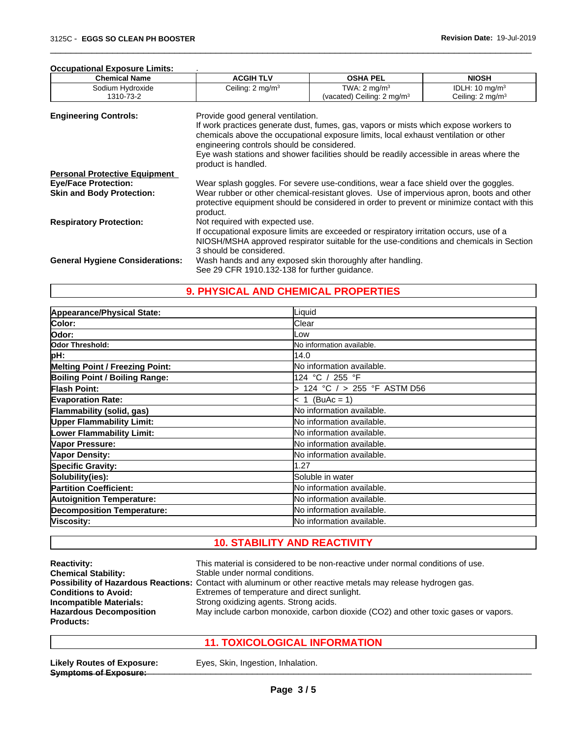#### **Occupational Exposure Limits:** .

| <b>Chemical Name</b>                   | <b>ACGIH TLV</b>                                                                                                                   | <b>OSHA PEL</b>                                                                      | <b>NIOSH</b>                |  |  |  |
|----------------------------------------|------------------------------------------------------------------------------------------------------------------------------------|--------------------------------------------------------------------------------------|-----------------------------|--|--|--|
| Sodium Hydroxide                       | Ceiling: $2 \text{ mg/m}^3$                                                                                                        | TWA: $2 \text{ mq/m}^3$                                                              | IDLH: $10 \text{ mg/m}^3$   |  |  |  |
| 1310-73-2                              |                                                                                                                                    | (vacated) Ceiling: $2 \text{ mg/m}^3$                                                | Ceiling: $2 \text{ mg/m}^3$ |  |  |  |
| <b>Engineering Controls:</b>           | Provide good general ventilation.                                                                                                  |                                                                                      |                             |  |  |  |
|                                        |                                                                                                                                    | If work practices generate dust, fumes, gas, vapors or mists which expose workers to |                             |  |  |  |
|                                        |                                                                                                                                    |                                                                                      |                             |  |  |  |
|                                        | chemicals above the occupational exposure limits, local exhaust ventilation or other<br>engineering controls should be considered. |                                                                                      |                             |  |  |  |
|                                        |                                                                                                                                    |                                                                                      |                             |  |  |  |
|                                        | Eye wash stations and shower facilities should be readily accessible in areas where the<br>product is handled.                     |                                                                                      |                             |  |  |  |
| <b>Personal Protective Equipment</b>   |                                                                                                                                    |                                                                                      |                             |  |  |  |
| <b>Eye/Face Protection:</b>            | Wear splash goggles. For severe use-conditions, wear a face shield over the goggles.                                               |                                                                                      |                             |  |  |  |
| <b>Skin and Body Protection:</b>       | Wear rubber or other chemical-resistant gloves. Use of impervious apron, boots and other                                           |                                                                                      |                             |  |  |  |
|                                        | protective equipment should be considered in order to prevent or minimize contact with this                                        |                                                                                      |                             |  |  |  |
|                                        | product.                                                                                                                           |                                                                                      |                             |  |  |  |
| <b>Respiratory Protection:</b>         | Not required with expected use.                                                                                                    |                                                                                      |                             |  |  |  |
|                                        | If occupational exposure limits are exceeded or respiratory irritation occurs, use of a                                            |                                                                                      |                             |  |  |  |
|                                        | NIOSH/MSHA approved respirator suitable for the use-conditions and chemicals in Section                                            |                                                                                      |                             |  |  |  |
|                                        | 3 should be considered.                                                                                                            |                                                                                      |                             |  |  |  |
| <b>General Hygiene Considerations:</b> |                                                                                                                                    |                                                                                      |                             |  |  |  |
|                                        | Wash hands and any exposed skin thoroughly after handling.                                                                         |                                                                                      |                             |  |  |  |
|                                        | See 29 CFR 1910.132-138 for further guidance.                                                                                      |                                                                                      |                             |  |  |  |

 $\overline{\phantom{a}}$  ,  $\overline{\phantom{a}}$  ,  $\overline{\phantom{a}}$  ,  $\overline{\phantom{a}}$  ,  $\overline{\phantom{a}}$  ,  $\overline{\phantom{a}}$  ,  $\overline{\phantom{a}}$  ,  $\overline{\phantom{a}}$  ,  $\overline{\phantom{a}}$  ,  $\overline{\phantom{a}}$  ,  $\overline{\phantom{a}}$  ,  $\overline{\phantom{a}}$  ,  $\overline{\phantom{a}}$  ,  $\overline{\phantom{a}}$  ,  $\overline{\phantom{a}}$  ,  $\overline{\phantom{a}}$ 

## **9. PHYSICAL AND CHEMICAL PROPERTIES**

| Appearance/Physical State:             | Liquid                           |
|----------------------------------------|----------------------------------|
| Color:                                 | Clear                            |
| Odor:                                  | Low                              |
| Odor Threshold:                        | No information available.        |
| pH:                                    | 14.0                             |
| <b>Melting Point / Freezing Point:</b> | No information available.        |
| Boiling Point / Boiling Range:         | 124 °C / 255 °F                  |
| <b>Flash Point:</b>                    | 124 °C / > 255 °F ASTM D56       |
| <b>Evaporation Rate:</b>               | $< 1$ (BuAc = 1)                 |
| Flammability (solid, gas)              | No information available.        |
| <b>Upper Flammability Limit:</b>       | No information available.        |
| <b>Lower Flammability Limit:</b>       | lNo information available.       |
| Vapor Pressure:                        | lNo information available.       |
| Vapor Density:                         | <b>No information available.</b> |
| <b>Specific Gravity:</b>               | 1.27                             |
| Solubility(ies):                       | Soluble in water                 |
| <b>Partition Coefficient:</b>          | No information available.        |
| <b>Autoignition Temperature:</b>       | No information available.        |
| <b>Decomposition Temperature:</b>      | lNo information available.       |
| Viscosity:                             | lNo information available.       |

## **10. STABILITY AND REACTIVITY**

| <b>Reactivity:</b>             | This material is considered to be non-reactive under normal conditions of use.                               |
|--------------------------------|--------------------------------------------------------------------------------------------------------------|
| <b>Chemical Stability:</b>     | Stable under normal conditions.                                                                              |
|                                | Possibility of Hazardous Reactions: Contact with aluminum or other reactive metals may release hydrogen gas. |
| <b>Conditions to Avoid:</b>    | Extremes of temperature and direct sunlight.                                                                 |
| <b>Incompatible Materials:</b> | Strong oxidizing agents. Strong acids.                                                                       |
| <b>Hazardous Decomposition</b> | May include carbon monoxide, carbon dioxide (CO2) and other toxic gases or vapors.                           |
| Products:                      |                                                                                                              |

## **11. TOXICOLOGICAL INFORMATION**

Likely Routes of Exposure: Eyes, Skin, Ingestion, Inhalation. **Symptoms of Exposure:**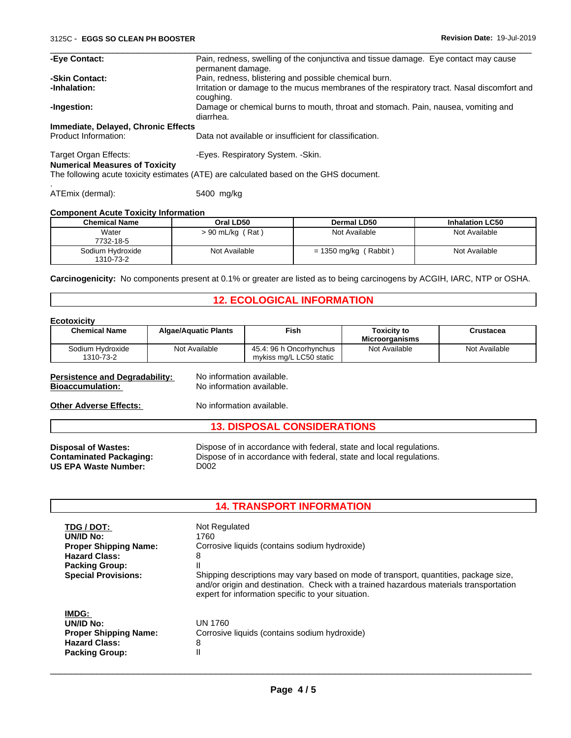| -Eye Contact:                                                  | Pain, redness, swelling of the conjunctiva and tissue damage. Eye contact may cause<br>permanent damage. |
|----------------------------------------------------------------|----------------------------------------------------------------------------------------------------------|
| -Skin Contact:                                                 | Pain, redness, blistering and possible chemical burn.                                                    |
| -Inhalation:                                                   | Irritation or damage to the mucus membranes of the respiratory tract. Nasal discomfort and<br>coughing.  |
| -Ingestion:                                                    | Damage or chemical burns to mouth, throat and stomach. Pain, nausea, vomiting and<br>diarrhea.           |
| Immediate, Delayed, Chronic Effects                            |                                                                                                          |
| Product Information:                                           | Data not available or insufficient for classification.                                                   |
| Target Organ Effects:<br><b>Numerical Measures of Toxicity</b> | -Eyes. Respiratory System. - Skin.                                                                       |
|                                                                | The following acute toxicity estimates (ATE) are calculated based on the GHS document.                   |
| ATEmix (dermal):                                               | 5400 mg/kg                                                                                               |

## **Component Acute Toxicity Information**

| <b>Chemical Name</b>          | Oral LD50               | Dermal LD50            | <b>Inhalation LC50</b> |
|-------------------------------|-------------------------|------------------------|------------------------|
| Water<br>7732-18-5            | ′ Rat ∶<br>> 90 mL/kg ( | Not Available          | Not Available          |
| Sodium Hvdroxide<br>1310-73-2 | Not Available           | Rabbit<br>= 1350 mg/kg | Not Available          |

**Carcinogenicity:** No components present at 0.1% or greater are listed as to being carcinogens by ACGIH, IARC, NTP or OSHA.

## **12. ECOLOGICAL INFORMATION**

#### **Ecotoxicity**

| ᆫᇰᇰᇅᇰᇧᇅᇅ                                                                                          |                             |                                                                                                                                            |                                             |               |  |
|---------------------------------------------------------------------------------------------------|-----------------------------|--------------------------------------------------------------------------------------------------------------------------------------------|---------------------------------------------|---------------|--|
| <b>Chemical Name</b>                                                                              | <b>Algae/Aquatic Plants</b> | <b>Fish</b>                                                                                                                                | <b>Toxicity to</b><br><b>Microorganisms</b> | Crustacea     |  |
| Sodium Hydroxide<br>1310-73-2                                                                     | Not Available               | 45.4: 96 h Oncorhynchus<br>mykiss mg/L LC50 static                                                                                         | Not Available                               | Not Available |  |
| <b>Persistence and Degradability:</b><br><b>Bioaccumulation:</b><br><b>Other Adverse Effects:</b> |                             | No information available.<br>No information available.<br>No information available.                                                        |                                             |               |  |
|                                                                                                   |                             | <b>13. DISPOSAL CONSIDERATIONS</b>                                                                                                         |                                             |               |  |
| <b>Disposal of Wastes:</b><br><b>Contaminated Packaging:</b><br><b>US EPA Waste Number:</b>       | D002                        | Dispose of in accordance with federal, state and local regulations.<br>Dispose of in accordance with federal, state and local regulations. |                                             |               |  |

| <b>14. TRANSPORT INFORMATION</b> |                                                                                                                                                                                                                                      |  |
|----------------------------------|--------------------------------------------------------------------------------------------------------------------------------------------------------------------------------------------------------------------------------------|--|
| TDG / DOT:                       | Not Regulated                                                                                                                                                                                                                        |  |
| UN/ID No:                        | 1760                                                                                                                                                                                                                                 |  |
| <b>Proper Shipping Name:</b>     | Corrosive liquids (contains sodium hydroxide)                                                                                                                                                                                        |  |
| <b>Hazard Class:</b>             | 8                                                                                                                                                                                                                                    |  |
| <b>Packing Group:</b>            |                                                                                                                                                                                                                                      |  |
| <b>Special Provisions:</b>       | Shipping descriptions may vary based on mode of transport, quantities, package size,<br>and/or origin and destination. Check with a trained hazardous materials transportation<br>expert for information specific to your situation. |  |
| IMDG:                            |                                                                                                                                                                                                                                      |  |
| UN/ID No:                        | <b>UN 1760</b>                                                                                                                                                                                                                       |  |
| <b>Proper Shipping Name:</b>     | Corrosive liquids (contains sodium hydroxide)                                                                                                                                                                                        |  |
| <b>Hazard Class:</b>             | 8                                                                                                                                                                                                                                    |  |
| <b>Packing Group:</b>            | Ш                                                                                                                                                                                                                                    |  |